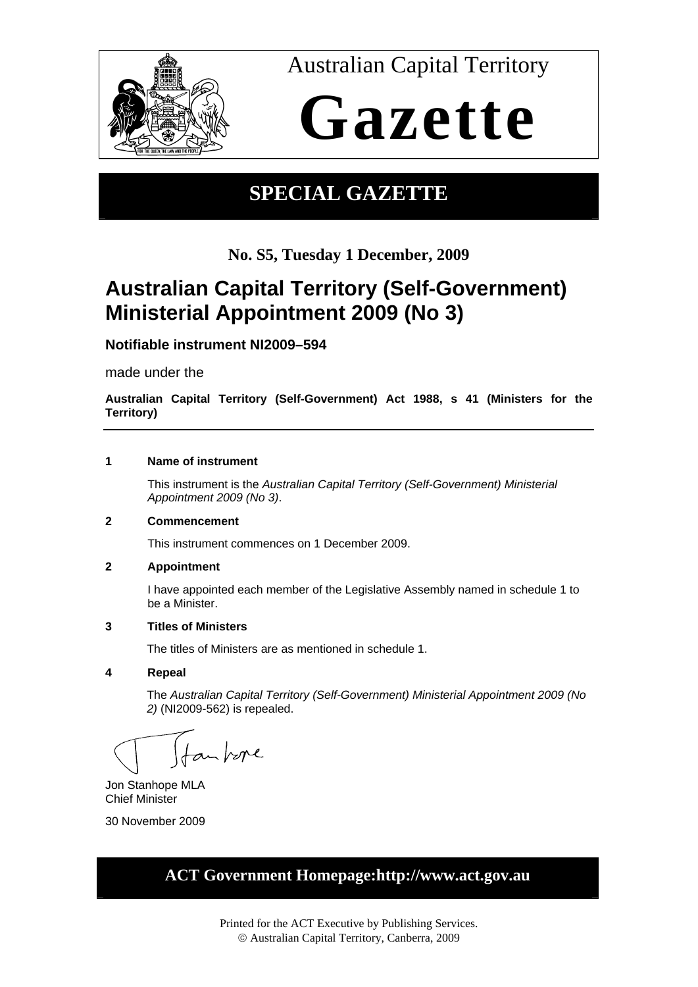

Australian Capital Territory

# **Gazette**

### **SPECIAL GAZETTE**

**No. S5, Tuesday 1 December, 2009**

### **Australian Capital Territory (Self-Government) Ministerial Appointment 2009 (No 3)**

**Notifiable instrument NI2009–594**

made under the

**Australian Capital Territory (Self-Government) Act 1988, s 41 (Ministers for the Territory)** 

#### **1 Name of instrument**

This instrument is the *Australian Capital Territory (Self-Government) Ministerial Appointment 2009 (No 3)*.

#### **2 Commencement**

This instrument commences on 1 December 2009.

#### **2 Appointment**

I have appointed each member of the Legislative Assembly named in schedule 1 to be a Minister.

#### **3 Titles of Ministers**

The titles of Ministers are as mentioned in schedule 1.

#### **4 Repeal**

The *Australian Capital Territory (Self-Government) Ministerial Appointment 2009 (No 2)* (NI2009-562) is repealed.

fan bere

Jon Stanhope MLA Chief Minister

30 November 2009

### **ACT Government Homepage:http://www.act.gov.au**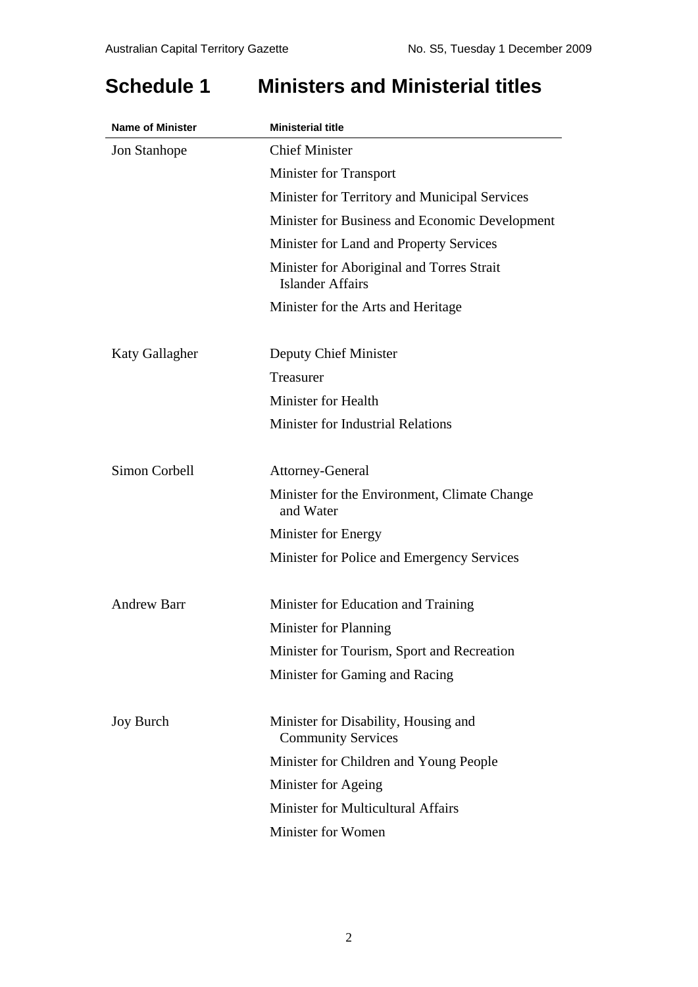### **Schedule 1 Ministers and Ministerial titles**

| <b>Name of Minister</b> | <b>Ministerial title</b>                                             |  |
|-------------------------|----------------------------------------------------------------------|--|
| <b>Jon Stanhope</b>     | <b>Chief Minister</b>                                                |  |
|                         | <b>Minister for Transport</b>                                        |  |
|                         | Minister for Territory and Municipal Services                        |  |
|                         | Minister for Business and Economic Development                       |  |
|                         | Minister for Land and Property Services                              |  |
|                         | Minister for Aboriginal and Torres Strait<br><b>Islander Affairs</b> |  |
|                         | Minister for the Arts and Heritage                                   |  |
| <b>Katy Gallagher</b>   | Deputy Chief Minister                                                |  |
|                         | Treasurer                                                            |  |
|                         | Minister for Health                                                  |  |
|                         | <b>Minister for Industrial Relations</b>                             |  |
| Simon Corbell           | <b>Attorney-General</b>                                              |  |
|                         | Minister for the Environment, Climate Change<br>and Water            |  |
|                         | Minister for Energy                                                  |  |
|                         | Minister for Police and Emergency Services                           |  |
| <b>Andrew Barr</b>      | Minister for Education and Training                                  |  |
|                         | Minister for Planning                                                |  |
|                         | Minister for Tourism, Sport and Recreation                           |  |
|                         | Minister for Gaming and Racing                                       |  |
| <b>Joy Burch</b>        | Minister for Disability, Housing and<br><b>Community Services</b>    |  |
|                         | Minister for Children and Young People                               |  |
|                         | Minister for Ageing                                                  |  |
|                         | <b>Minister for Multicultural Affairs</b>                            |  |
|                         | Minister for Women                                                   |  |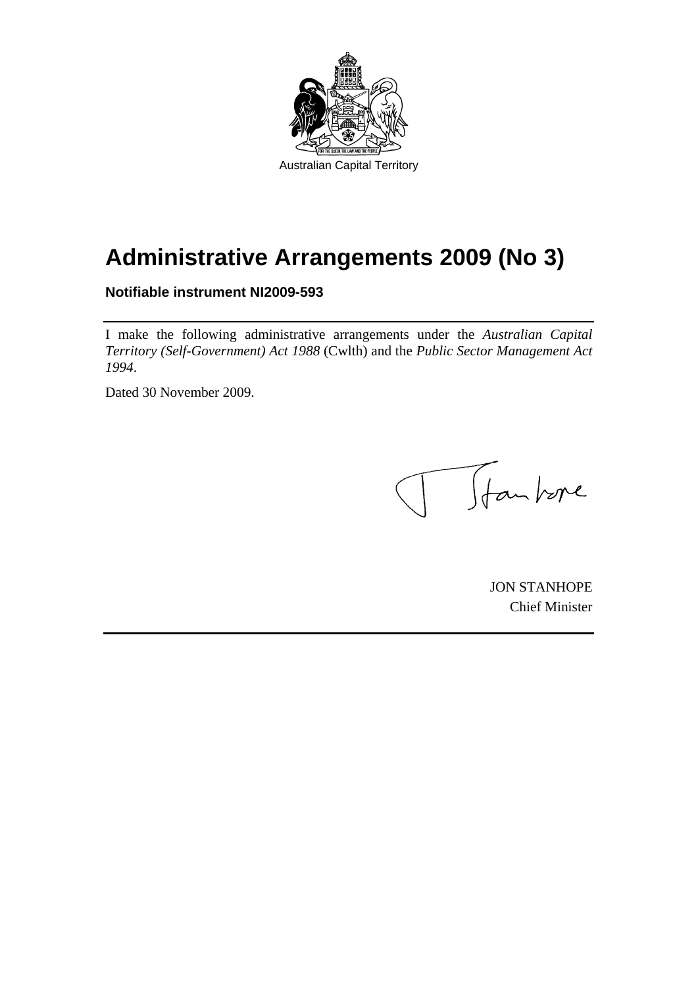

# **Administrative Arrangements 2009 (No 3)**

**Notifiable instrument NI2009-593** 

I make the following administrative arrangements under the *Australian Capital Territory (Self-Government) Act 1988* (Cwlth) and the *Public Sector Management Act 1994*.

Dated 30 November 2009.

Totan bore

JON STANHOPE Chief Minister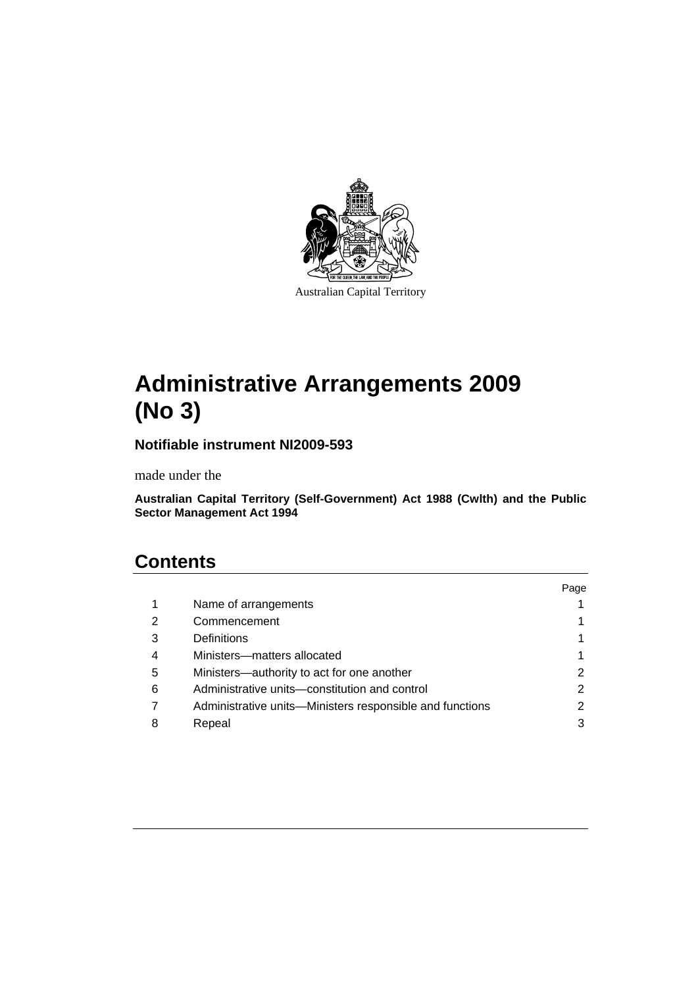

Australian Capital Territory

## **Administrative Arrangements 2009 (No 3)**

**Notifiable instrument NI2009-593** 

made under the

**Australian Capital Territory (Self-Government) Act 1988 (Cwlth) and the Public Sector Management Act 1994** 

### **Contents**

|   |                                                          | Page |
|---|----------------------------------------------------------|------|
| 1 | Name of arrangements                                     |      |
| 2 | Commencement                                             |      |
| 3 | Definitions                                              |      |
| 4 | Ministers-matters allocated                              |      |
| 5 | Ministers-authority to act for one another               | 2    |
| 6 | Administrative units-constitution and control            | 2    |
|   | Administrative units—Ministers responsible and functions | 2    |
| 8 | Repeal                                                   | 3    |
|   |                                                          |      |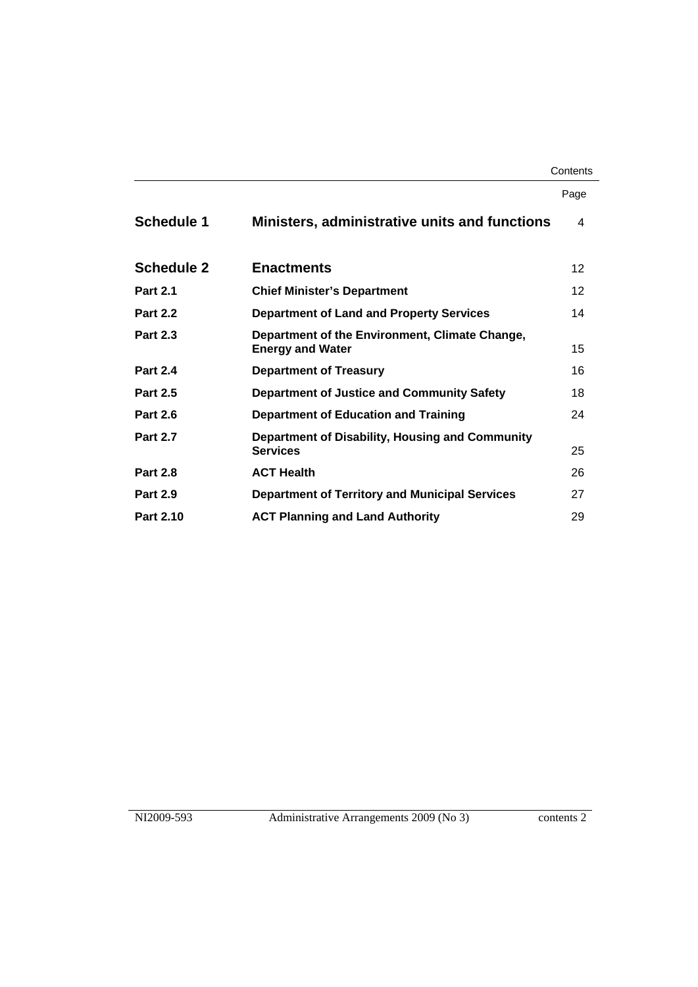#### **Contents**

|                   |                                                                           | Page            |
|-------------------|---------------------------------------------------------------------------|-----------------|
| <b>Schedule 1</b> | Ministers, administrative units and functions                             | 4               |
| <b>Schedule 2</b> | <b>Enactments</b>                                                         | 12 <sup>2</sup> |
| <b>Part 2.1</b>   | <b>Chief Minister's Department</b>                                        | 12 <sup>2</sup> |
| <b>Part 2.2</b>   | <b>Department of Land and Property Services</b>                           | 14              |
| <b>Part 2.3</b>   | Department of the Environment, Climate Change,<br><b>Energy and Water</b> | 15              |
| <b>Part 2.4</b>   | <b>Department of Treasury</b>                                             | 16              |
| <b>Part 2.5</b>   | Department of Justice and Community Safety                                | 18              |
| <b>Part 2.6</b>   | <b>Department of Education and Training</b>                               | 24              |
| <b>Part 2.7</b>   | Department of Disability, Housing and Community<br><b>Services</b>        | 25              |
| <b>Part 2.8</b>   | <b>ACT Health</b>                                                         | 26              |
| <b>Part 2.9</b>   | <b>Department of Territory and Municipal Services</b>                     | 27              |
| <b>Part 2.10</b>  | <b>ACT Planning and Land Authority</b>                                    | 29              |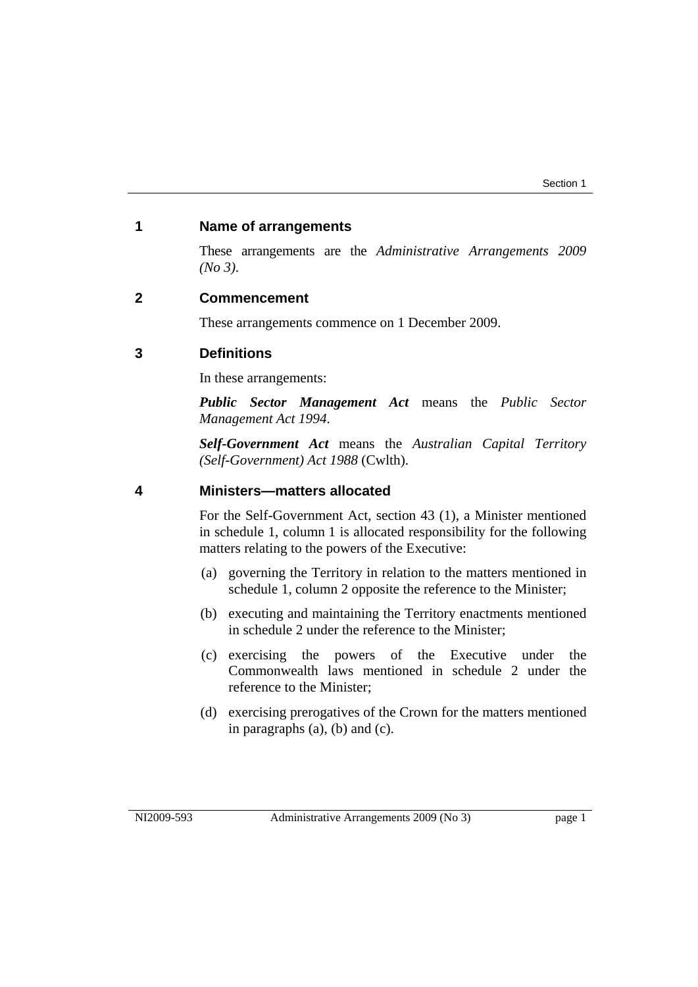#### **1 Name of arrangements**

These arrangements are the *Administrative Arrangements 2009 (No 3)*.

#### **2 Commencement**

These arrangements commence on 1 December 2009.

#### **3 Definitions**

In these arrangements:

*Public Sector Management Act* means the *Public Sector Management Act 1994*.

*Self-Government Act* means the *Australian Capital Territory (Self-Government) Act 1988* (Cwlth).

#### **4 Ministers—matters allocated**

For the Self-Government Act, section 43 (1), a Minister mentioned in schedule 1, column 1 is allocated responsibility for the following matters relating to the powers of the Executive:

- (a) governing the Territory in relation to the matters mentioned in schedule 1, column 2 opposite the reference to the Minister;
- (b) executing and maintaining the Territory enactments mentioned in schedule 2 under the reference to the Minister;
- (c) exercising the powers of the Executive under the Commonwealth laws mentioned in schedule 2 under the reference to the Minister;
- (d) exercising prerogatives of the Crown for the matters mentioned in paragraphs (a), (b) and (c).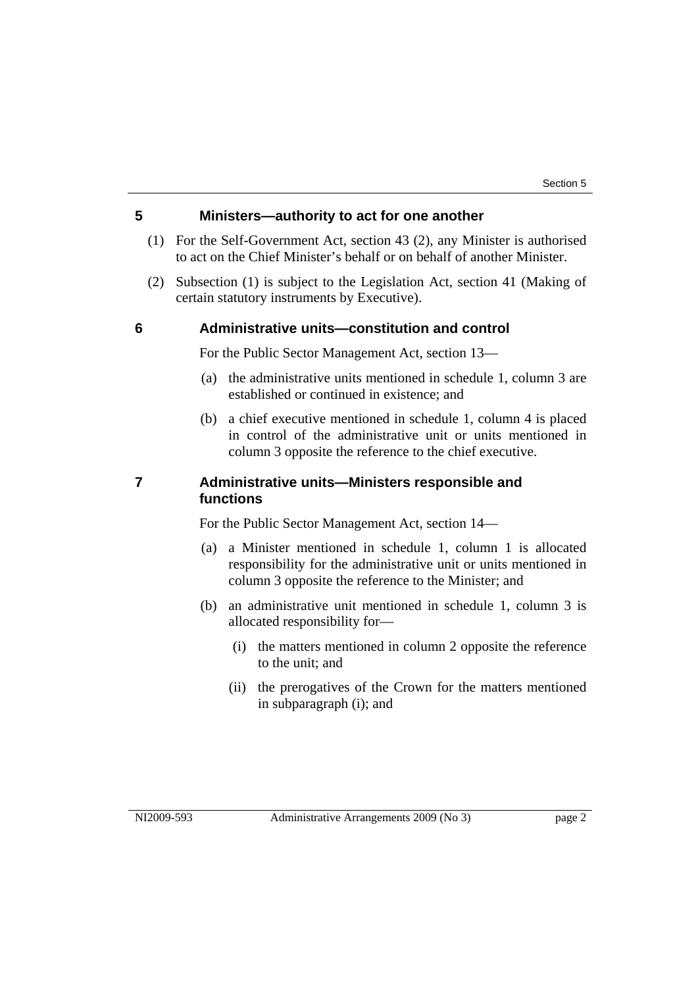### **5 Ministers—authority to act for one another**

- (1) For the Self-Government Act, section 43 (2), any Minister is authorised to act on the Chief Minister's behalf or on behalf of another Minister.
- (2) Subsection (1) is subject to the Legislation Act, section 41 (Making of certain statutory instruments by Executive).

#### **6 Administrative units—constitution and control**

For the Public Sector Management Act, section 13—

- (a) the administrative units mentioned in schedule 1, column 3 are established or continued in existence; and
- (b) a chief executive mentioned in schedule 1, column 4 is placed in control of the administrative unit or units mentioned in column 3 opposite the reference to the chief executive.

#### **7 Administrative units—Ministers responsible and functions**

For the Public Sector Management Act, section 14—

- (a) a Minister mentioned in schedule 1, column 1 is allocated responsibility for the administrative unit or units mentioned in column 3 opposite the reference to the Minister; and
- (b) an administrative unit mentioned in schedule 1, column 3 is allocated responsibility for—
	- (i) the matters mentioned in column 2 opposite the reference to the unit; and
	- (ii) the prerogatives of the Crown for the matters mentioned in subparagraph (i); and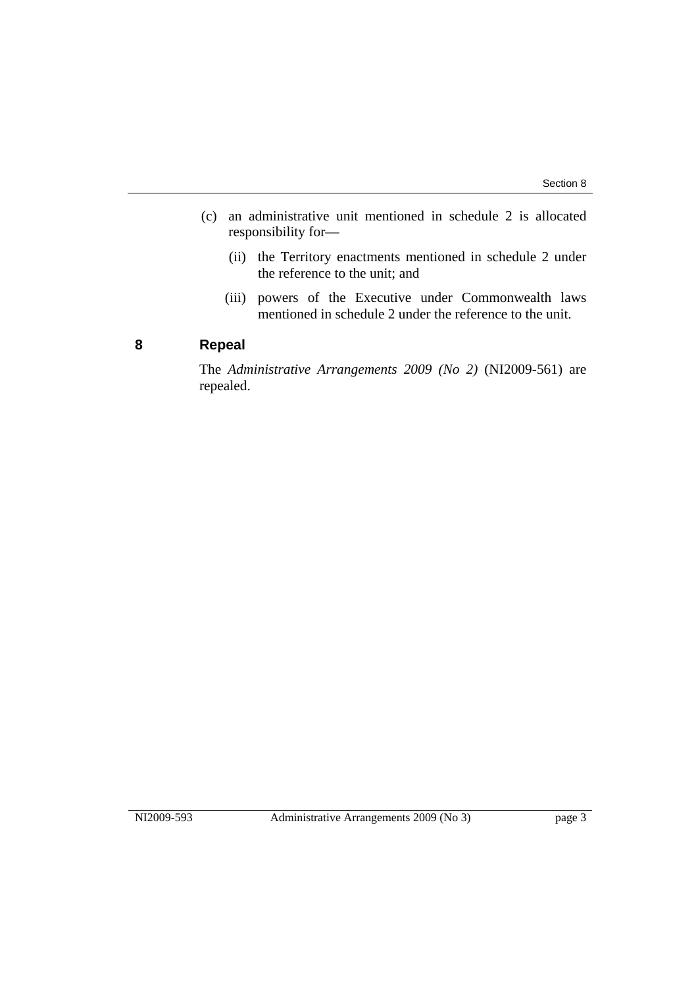- (c) an administrative unit mentioned in schedule 2 is allocated responsibility for—
	- (ii) the Territory enactments mentioned in schedule 2 under the reference to the unit; and
	- (iii) powers of the Executive under Commonwealth laws mentioned in schedule 2 under the reference to the unit.

#### **8 Repeal**

The *Administrative Arrangements 2009 (No 2)* (NI2009-561) are repealed.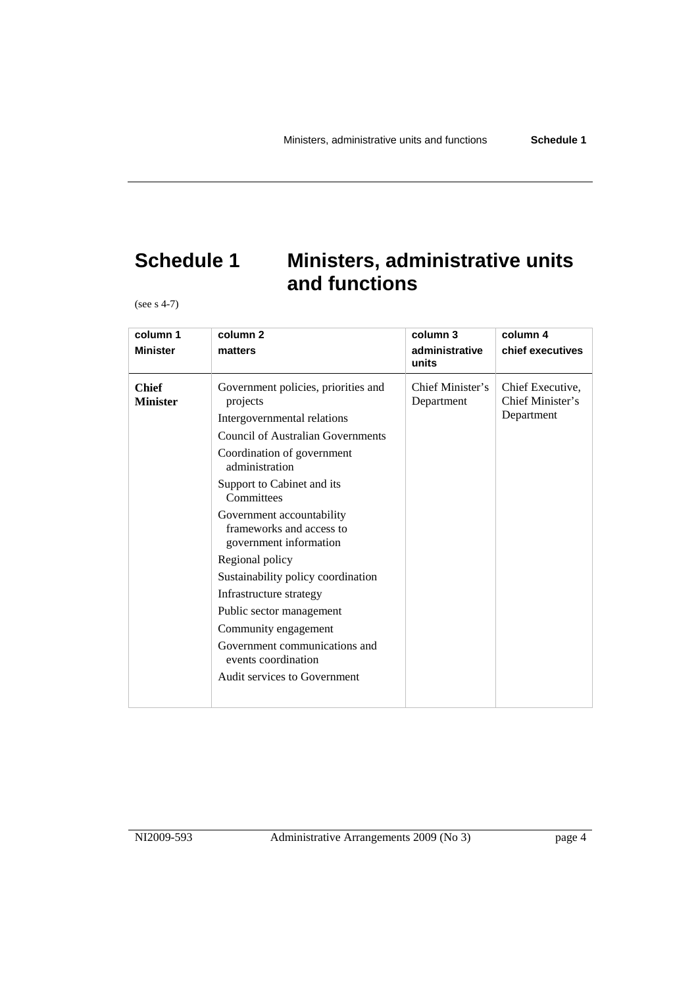### **Schedule 1 Ministers, administrative units and functions**

(see s 4-7)

| column 1                        | column <sub>2</sub>                                                                                                                                                                                                                                                                                                                                                                                                                                                                                                                       | column 3                       | column 4                                           |
|---------------------------------|-------------------------------------------------------------------------------------------------------------------------------------------------------------------------------------------------------------------------------------------------------------------------------------------------------------------------------------------------------------------------------------------------------------------------------------------------------------------------------------------------------------------------------------------|--------------------------------|----------------------------------------------------|
| <b>Minister</b>                 | matters                                                                                                                                                                                                                                                                                                                                                                                                                                                                                                                                   | administrative<br>units        | chief executives                                   |
| <b>Chief</b><br><b>Minister</b> | Government policies, priorities and<br>projects<br>Intergovernmental relations<br><b>Council of Australian Governments</b><br>Coordination of government<br>administration<br>Support to Cabinet and its<br>Committees<br>Government accountability<br>frameworks and access to<br>government information<br>Regional policy<br>Sustainability policy coordination<br>Infrastructure strategy<br>Public sector management<br>Community engagement<br>Government communications and<br>events coordination<br>Audit services to Government | Chief Minister's<br>Department | Chief Executive,<br>Chief Minister's<br>Department |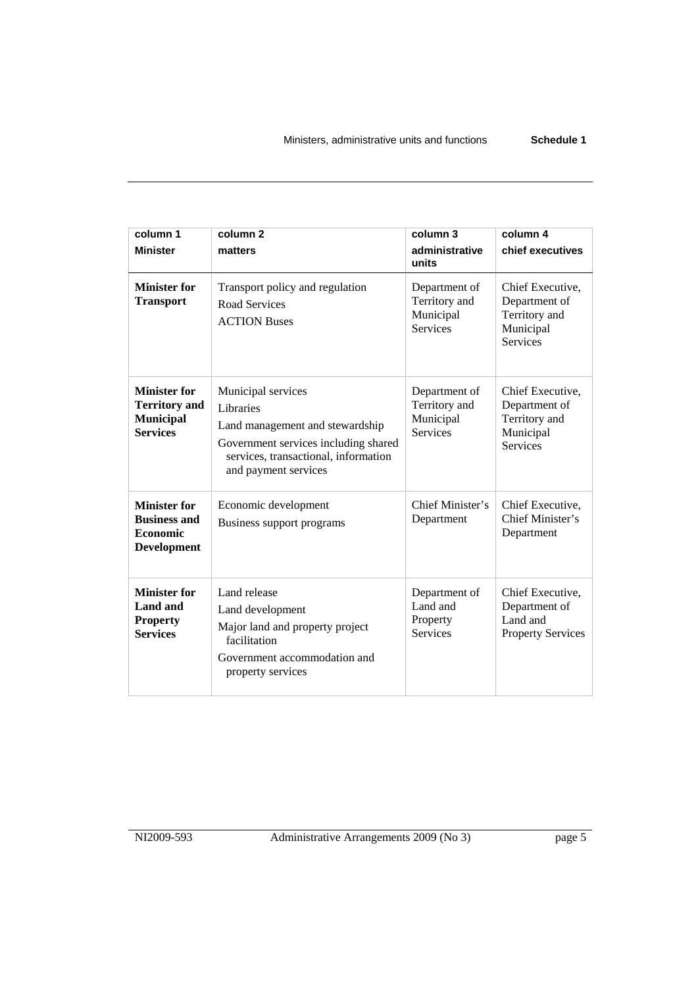| column 1<br><b>Minister</b>                                                         | column $2$<br>matters                                                                                                                                                      | column 3<br>administrative<br>units                            | column 4<br>chief executives                                                       |
|-------------------------------------------------------------------------------------|----------------------------------------------------------------------------------------------------------------------------------------------------------------------------|----------------------------------------------------------------|------------------------------------------------------------------------------------|
| <b>Minister for</b><br><b>Transport</b>                                             | Transport policy and regulation<br>Road Services<br><b>ACTION Buses</b>                                                                                                    | Department of<br>Territory and<br>Municipal<br><b>Services</b> | Chief Executive,<br>Department of<br>Territory and<br>Municipal<br>Services        |
| <b>Minister for</b><br><b>Territory</b> and<br><b>Municipal</b><br><b>Services</b>  | Municipal services<br>Libraries<br>Land management and stewardship<br>Government services including shared<br>services, transactional, information<br>and payment services | Department of<br>Territory and<br>Municipal<br><b>Services</b> | Chief Executive,<br>Department of<br>Territory and<br>Municipal<br><b>Services</b> |
| <b>Minister for</b><br><b>Business and</b><br><b>Economic</b><br><b>Development</b> | Economic development<br>Business support programs                                                                                                                          | Chief Minister's<br>Department                                 | Chief Executive,<br>Chief Minister's<br>Department                                 |
| <b>Minister for</b><br>Land and<br><b>Property</b><br><b>Services</b>               | Land release<br>Land development<br>Major land and property project<br>facilitation<br>Government accommodation and<br>property services                                   | Department of<br>Land and<br>Property<br><b>Services</b>       | Chief Executive,<br>Department of<br>Land and<br><b>Property Services</b>          |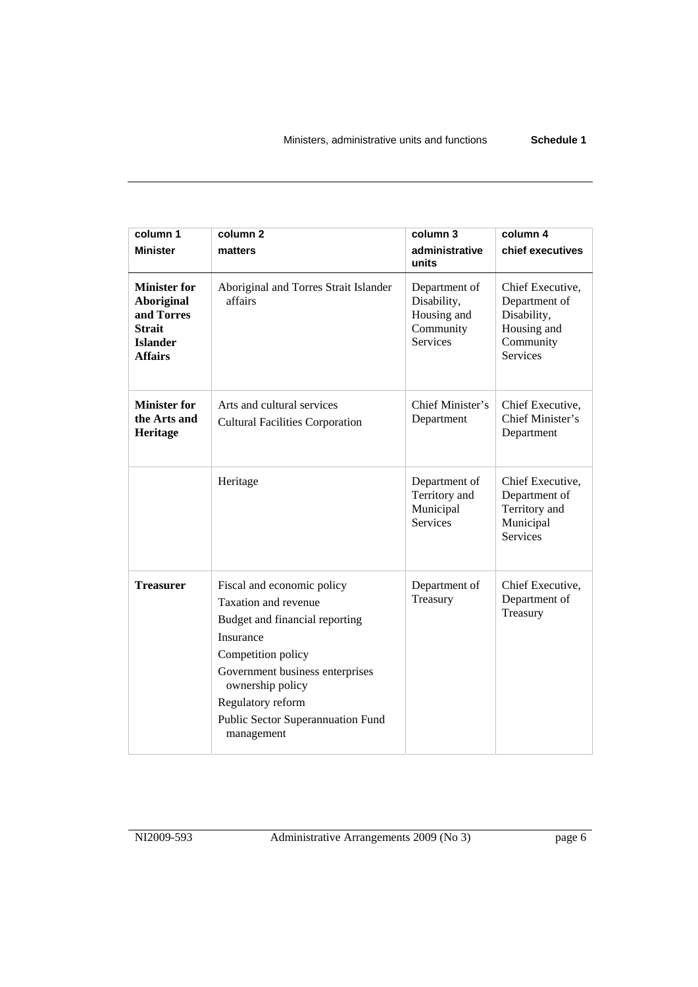| column 1<br><b>Minister</b>                                                                           | column <sub>2</sub><br>matters                                                                                                                                                                                                                         | column 3<br>administrative<br>units                                         | column 4<br>chief executives                                                                    |
|-------------------------------------------------------------------------------------------------------|--------------------------------------------------------------------------------------------------------------------------------------------------------------------------------------------------------------------------------------------------------|-----------------------------------------------------------------------------|-------------------------------------------------------------------------------------------------|
| <b>Minister for</b><br>Aboriginal<br>and Torres<br><b>Strait</b><br><b>Islander</b><br><b>Affairs</b> | Aboriginal and Torres Strait Islander<br>affairs                                                                                                                                                                                                       | Department of<br>Disability,<br>Housing and<br>Community<br><b>Services</b> | Chief Executive,<br>Department of<br>Disability,<br>Housing and<br>Community<br><b>Services</b> |
| <b>Minister for</b><br>the Arts and<br>Heritage                                                       | Arts and cultural services<br><b>Cultural Facilities Corporation</b>                                                                                                                                                                                   | Chief Minister's<br>Department                                              | Chief Executive,<br>Chief Minister's<br>Department                                              |
|                                                                                                       | Heritage                                                                                                                                                                                                                                               | Department of<br>Territory and<br>Municipal<br><b>Services</b>              | Chief Executive,<br>Department of<br>Territory and<br>Municipal<br><b>Services</b>              |
| <b>Treasurer</b>                                                                                      | Fiscal and economic policy<br>Taxation and revenue<br>Budget and financial reporting<br>Insurance<br>Competition policy<br>Government business enterprises<br>ownership policy<br>Regulatory reform<br>Public Sector Superannuation Fund<br>management | Department of<br>Treasury                                                   | Chief Executive,<br>Department of<br>Treasury                                                   |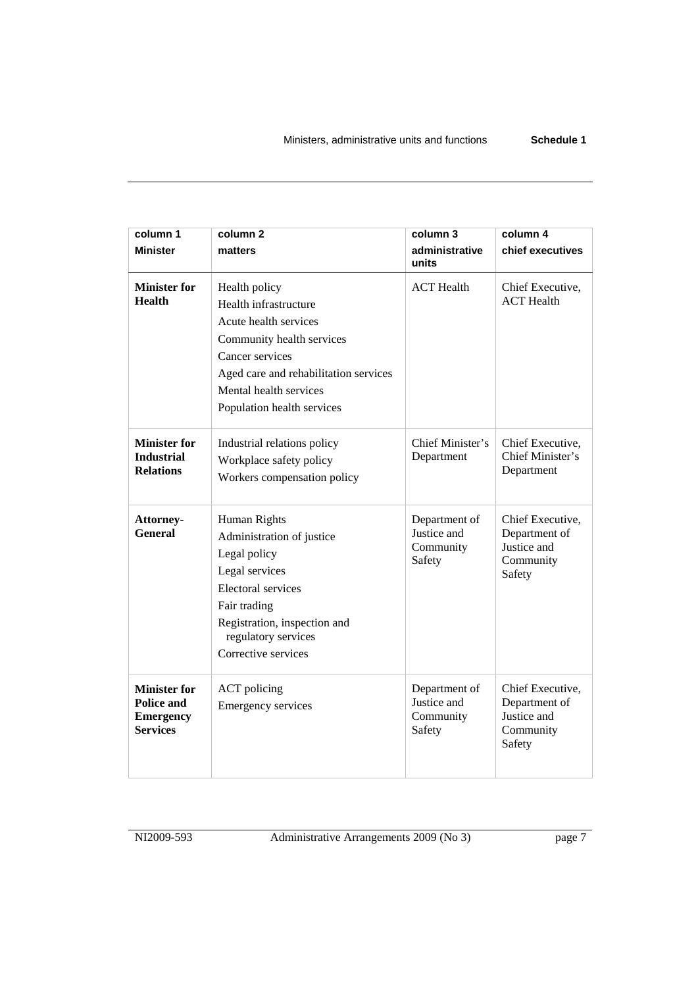| column 1                                                                 | column <sub>2</sub>                                                                                                                                                                                              | column 3                                            | column 4                                                                |
|--------------------------------------------------------------------------|------------------------------------------------------------------------------------------------------------------------------------------------------------------------------------------------------------------|-----------------------------------------------------|-------------------------------------------------------------------------|
| <b>Minister</b>                                                          | matters                                                                                                                                                                                                          | administrative<br>units                             | chief executives                                                        |
| <b>Minister for</b><br><b>Health</b>                                     | Health policy<br>Health infrastructure<br>Acute health services<br>Community health services<br>Cancer services<br>Aged care and rehabilitation services<br>Mental health services<br>Population health services | <b>ACT</b> Health                                   | Chief Executive,<br><b>ACT</b> Health                                   |
| <b>Minister for</b><br><b>Industrial</b><br><b>Relations</b>             | Industrial relations policy<br>Workplace safety policy<br>Workers compensation policy                                                                                                                            | Chief Minister's<br>Department                      | Chief Executive,<br>Chief Minister's<br>Department                      |
| Attorney-<br><b>General</b>                                              | Human Rights<br>Administration of justice<br>Legal policy<br>Legal services<br><b>Electoral services</b><br>Fair trading<br>Registration, inspection and<br>regulatory services<br>Corrective services           | Department of<br>Justice and<br>Community<br>Safety | Chief Executive,<br>Department of<br>Justice and<br>Community<br>Safety |
| <b>Minister for</b><br>Police and<br><b>Emergency</b><br><b>Services</b> | <b>ACT</b> policing<br><b>Emergency services</b>                                                                                                                                                                 | Department of<br>Justice and<br>Community<br>Safety | Chief Executive,<br>Department of<br>Justice and<br>Community<br>Safety |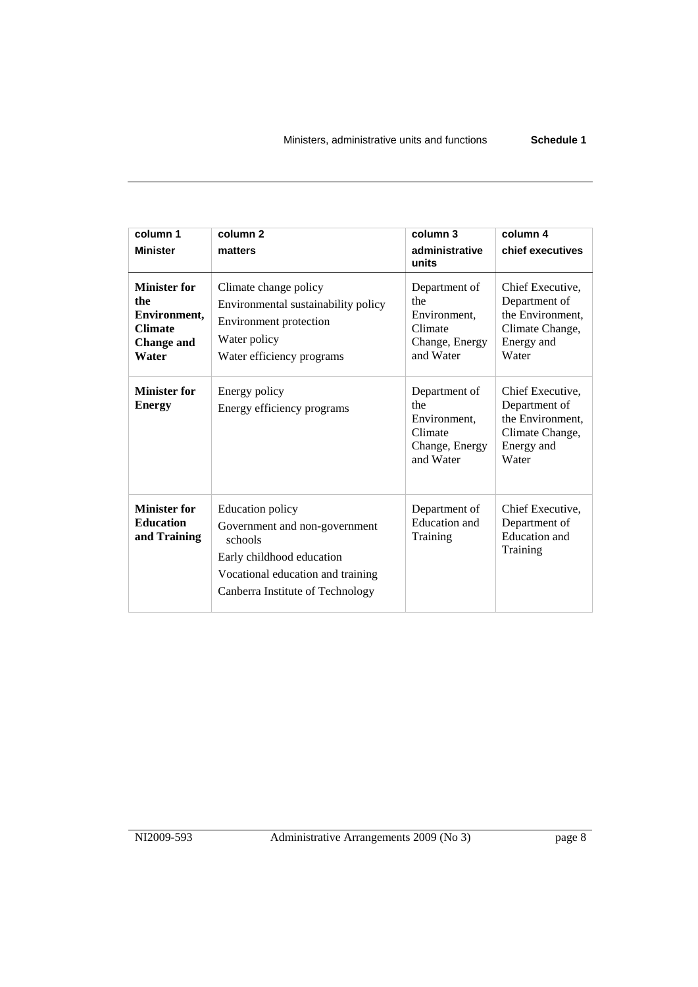| column 1<br><b>Minister</b>                                                                | column <sub>2</sub><br>matters                                                                                                                                            | column 3<br>administrative<br>units                                            | column 4<br>chief executives                                                                    |
|--------------------------------------------------------------------------------------------|---------------------------------------------------------------------------------------------------------------------------------------------------------------------------|--------------------------------------------------------------------------------|-------------------------------------------------------------------------------------------------|
| <b>Minister for</b><br>the<br>Environment,<br><b>Climate</b><br><b>Change and</b><br>Water | Climate change policy<br>Environmental sustainability policy<br>Environment protection<br>Water policy<br>Water efficiency programs                                       | Department of<br>the<br>Environment.<br>Climate<br>Change, Energy<br>and Water | Chief Executive,<br>Department of<br>the Environment,<br>Climate Change,<br>Energy and<br>Water |
| <b>Minister for</b><br><b>Energy</b>                                                       | Energy policy<br>Energy efficiency programs                                                                                                                               | Department of<br>the<br>Environment.<br>Climate<br>Change, Energy<br>and Water | Chief Executive,<br>Department of<br>the Environment,<br>Climate Change,<br>Energy and<br>Water |
| <b>Minister for</b><br><b>Education</b><br>and Training                                    | <b>Education policy</b><br>Government and non-government<br>schools<br>Early childhood education<br>Vocational education and training<br>Canberra Institute of Technology | Department of<br><b>Education</b> and<br>Training                              | Chief Executive,<br>Department of<br><b>Education</b> and<br>Training                           |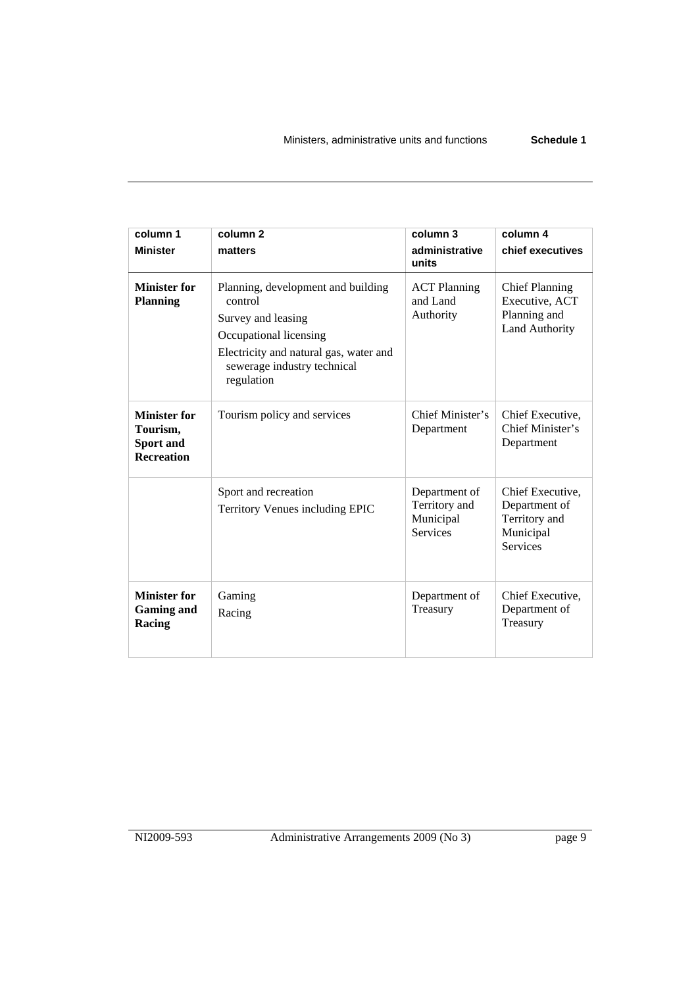**column 1 Minister column 2 matters column 3 administrative units column 4 chief executives Minister for Planning**  Planning, development and building control Survey and leasing Occupational licensing Electricity and natural gas, water and sewerage industry technical regulation ACT Planning and Land Authority Chief Planning Executive, ACT Planning and Land Authority **Minister for Tourism, Sport and Recreation**  Tourism policy and services <br>
Chief Minister's Department Chief Executive, Chief Minister's Department Sport and recreation Territory Venues including EPIC Department of Territory and Municipal Services Chief Executive, Department of Territory and Municipal Services **Minister for Gaming and Racing**  Gaming Racing Department of Treasury Chief Executive, Department of Treasury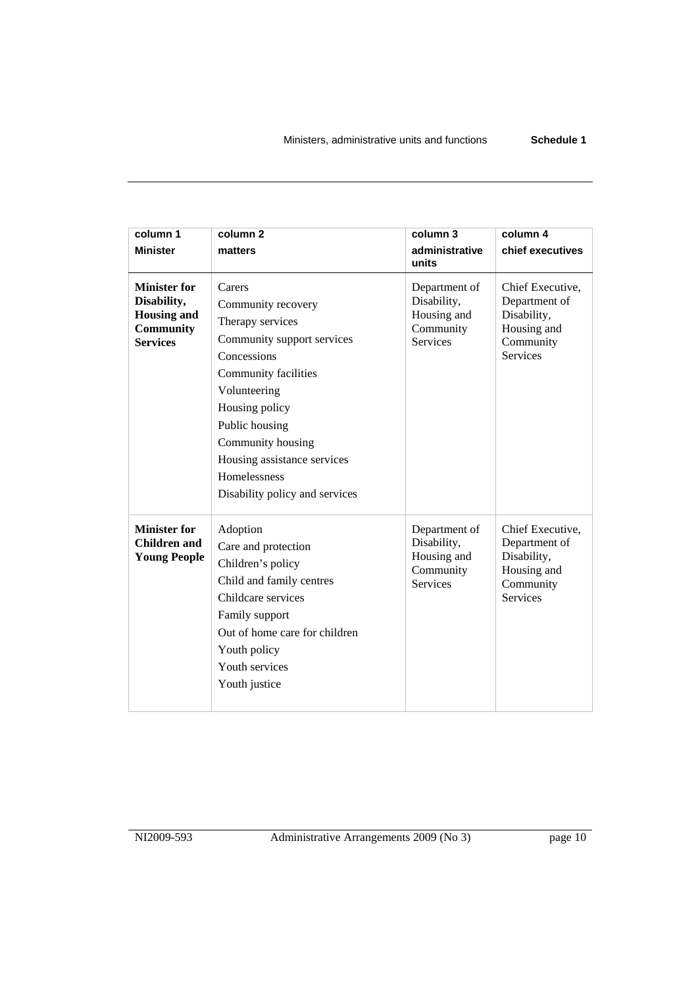| column 1                                                                                        | column <sub>2</sub>                                                                                                                                                                                                                                                             | column 3                                                                    | column 4                                                                                        |
|-------------------------------------------------------------------------------------------------|---------------------------------------------------------------------------------------------------------------------------------------------------------------------------------------------------------------------------------------------------------------------------------|-----------------------------------------------------------------------------|-------------------------------------------------------------------------------------------------|
|                                                                                                 |                                                                                                                                                                                                                                                                                 | administrative                                                              |                                                                                                 |
| <b>Minister</b>                                                                                 | matters                                                                                                                                                                                                                                                                         | units                                                                       | chief executives                                                                                |
| <b>Minister for</b><br>Disability,<br><b>Housing and</b><br><b>Community</b><br><b>Services</b> | Carers<br>Community recovery<br>Therapy services<br>Community support services<br>Concessions<br>Community facilities<br>Volunteering<br>Housing policy<br>Public housing<br>Community housing<br>Housing assistance services<br>Homelessness<br>Disability policy and services | Department of<br>Disability,<br>Housing and<br>Community<br><b>Services</b> | Chief Executive,<br>Department of<br>Disability,<br>Housing and<br>Community<br><b>Services</b> |
| <b>Minister for</b><br>Children and<br><b>Young People</b>                                      | Adoption<br>Care and protection<br>Children's policy<br>Child and family centres<br>Childcare services<br>Family support<br>Out of home care for children<br>Youth policy<br>Youth services<br>Youth justice                                                                    | Department of<br>Disability,<br>Housing and<br>Community<br><b>Services</b> | Chief Executive,<br>Department of<br>Disability,<br>Housing and<br>Community<br><b>Services</b> |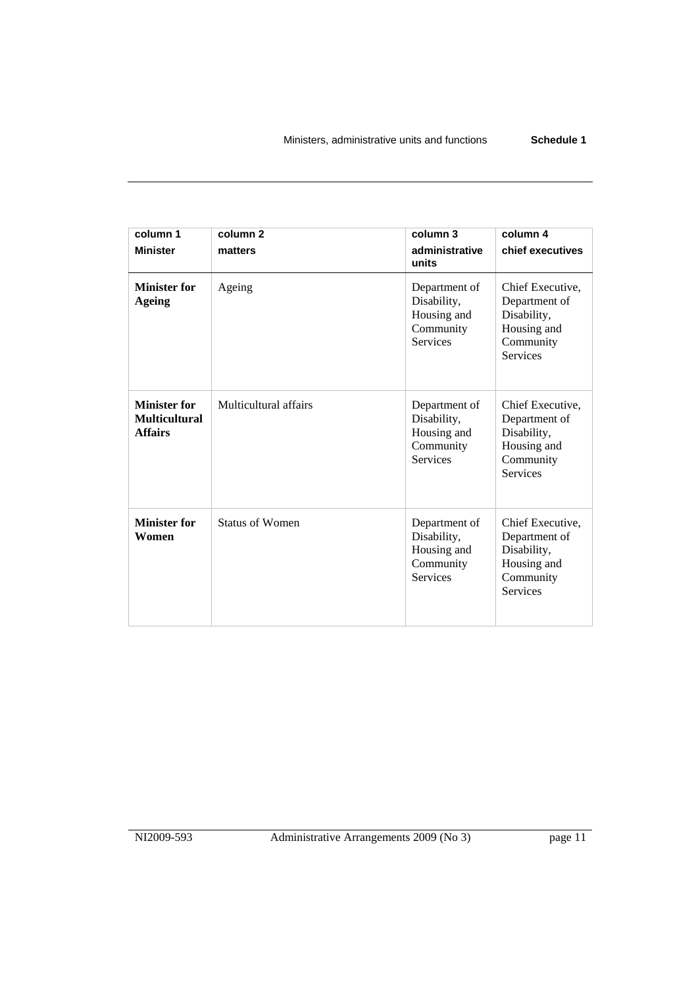| column 1<br><b>Minister</b>                                   | column <sub>2</sub><br>matters | column 3<br>administrative<br>units                                         | column 4<br>chief executives                                                                    |
|---------------------------------------------------------------|--------------------------------|-----------------------------------------------------------------------------|-------------------------------------------------------------------------------------------------|
| <b>Minister for</b><br><b>Ageing</b>                          | Ageing                         | Department of<br>Disability,<br>Housing and<br>Community<br><b>Services</b> | Chief Executive,<br>Department of<br>Disability,<br>Housing and<br>Community<br><b>Services</b> |
| <b>Minister for</b><br><b>Multicultural</b><br><b>Affairs</b> | Multicultural affairs          | Department of<br>Disability,<br>Housing and<br>Community<br><b>Services</b> | Chief Executive,<br>Department of<br>Disability,<br>Housing and<br>Community<br><b>Services</b> |
| <b>Minister for</b><br>Women                                  | <b>Status of Women</b>         | Department of<br>Disability,<br>Housing and<br>Community<br><b>Services</b> | Chief Executive,<br>Department of<br>Disability,<br>Housing and<br>Community<br><b>Services</b> |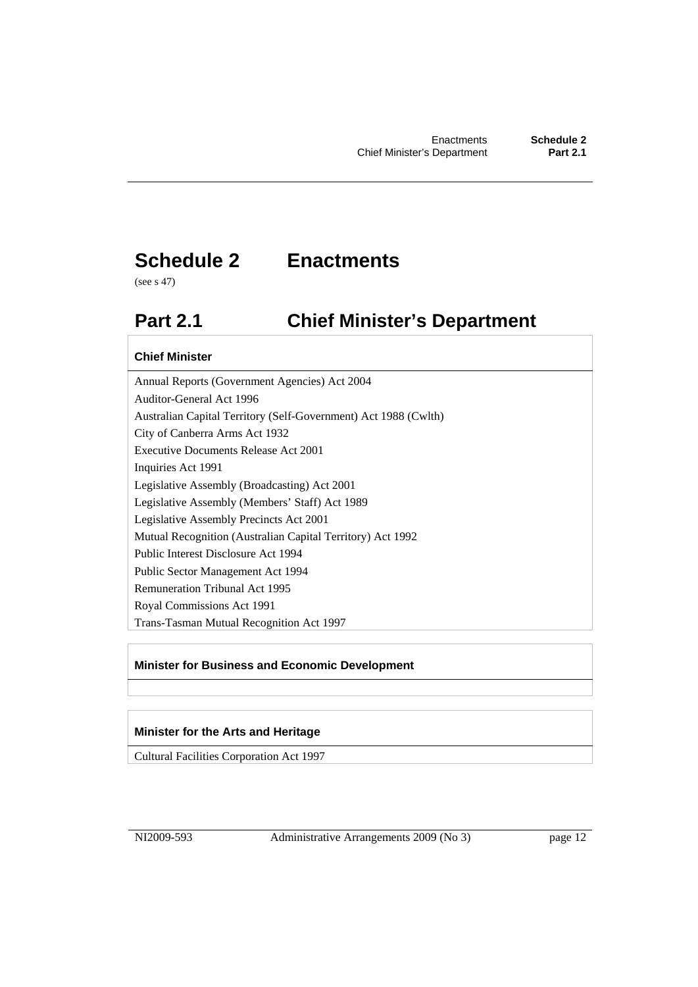### **Schedule 2 Enactments**

(see s 47)

### **Part 2.1 Chief Minister's Department**

#### **Chief Minister**

Annual Reports (Government Agencies) Act 2004 Auditor-General Act 1996 Australian Capital Territory (Self-Government) Act 1988 (Cwlth) City of Canberra Arms Act 1932 Executive Documents Release Act 2001 Inquiries Act 1991 Legislative Assembly (Broadcasting) Act 2001 Legislative Assembly (Members' Staff) Act 1989 Legislative Assembly Precincts Act 2001 Mutual Recognition (Australian Capital Territory) Act 1992 Public Interest Disclosure Act 1994 Public Sector Management Act 1994 Remuneration Tribunal Act 1995 Royal Commissions Act 1991 Trans-Tasman Mutual Recognition Act 1997

#### **Minister for Business and Economic Development**

#### **Minister for the Arts and Heritage**

Cultural Facilities Corporation Act 1997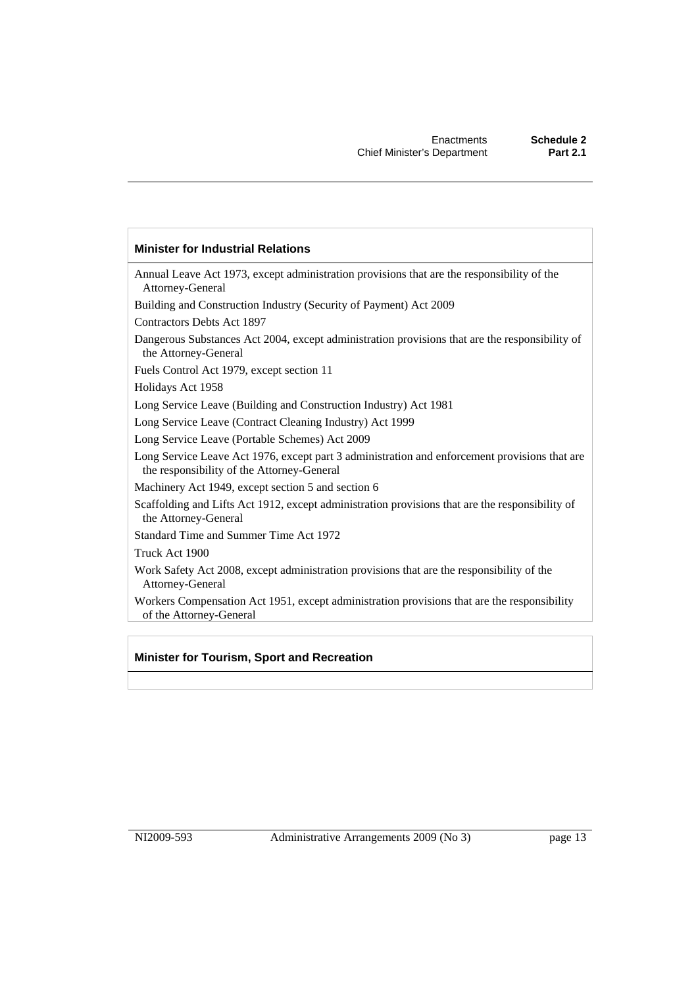#### **Minister for Industrial Relations**

Annual Leave Act 1973, except administration provisions that are the responsibility of the Attorney-General Building and Construction Industry (Security of Payment) Act 2009 Contractors Debts Act 1897 Dangerous Substances Act 2004, except administration provisions that are the responsibility of the Attorney-General Fuels Control Act 1979, except section 11 Holidays Act 1958 Long Service Leave (Building and Construction Industry) Act 1981 Long Service Leave (Contract Cleaning Industry) Act 1999 Long Service Leave (Portable Schemes) Act 2009 Long Service Leave Act 1976, except part 3 administration and enforcement provisions that are the responsibility of the Attorney-General Machinery Act 1949, except section 5 and section 6 Scaffolding and Lifts Act 1912, except administration provisions that are the responsibility of the Attorney-General Standard Time and Summer Time Act 1972 Truck Act 1900 Work Safety Act 2008, except administration provisions that are the responsibility of the Attorney-General Workers Compensation Act 1951, except administration provisions that are the responsibility of the Attorney-General

#### **Minister for Tourism, Sport and Recreation**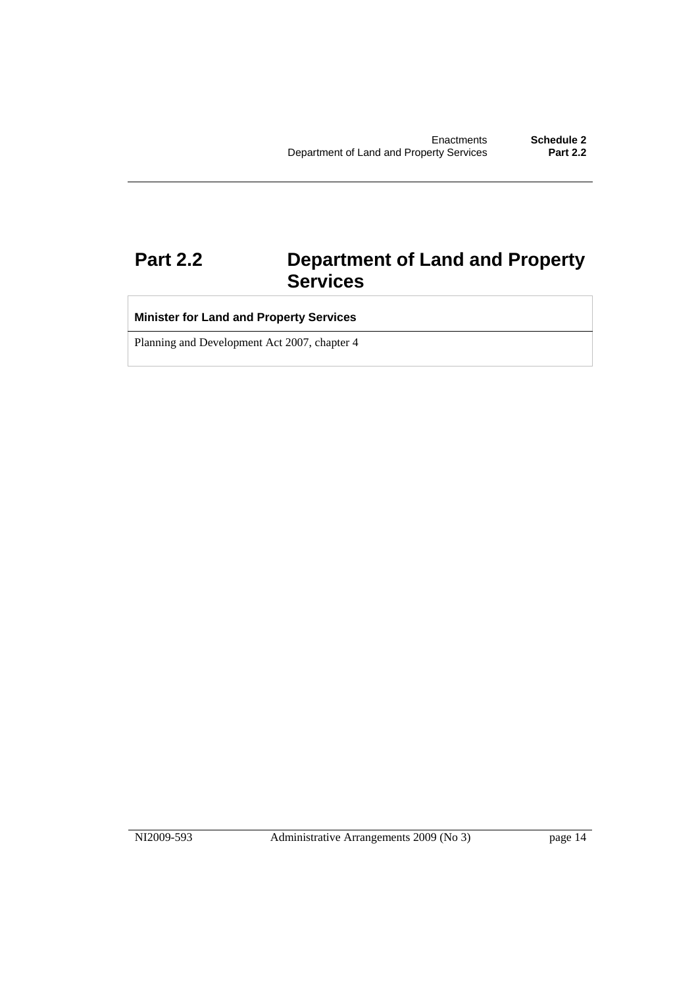### **Part 2.2 Department of Land and Property Services**

### **Minister for Land and Property Services**

Planning and Development Act 2007, chapter 4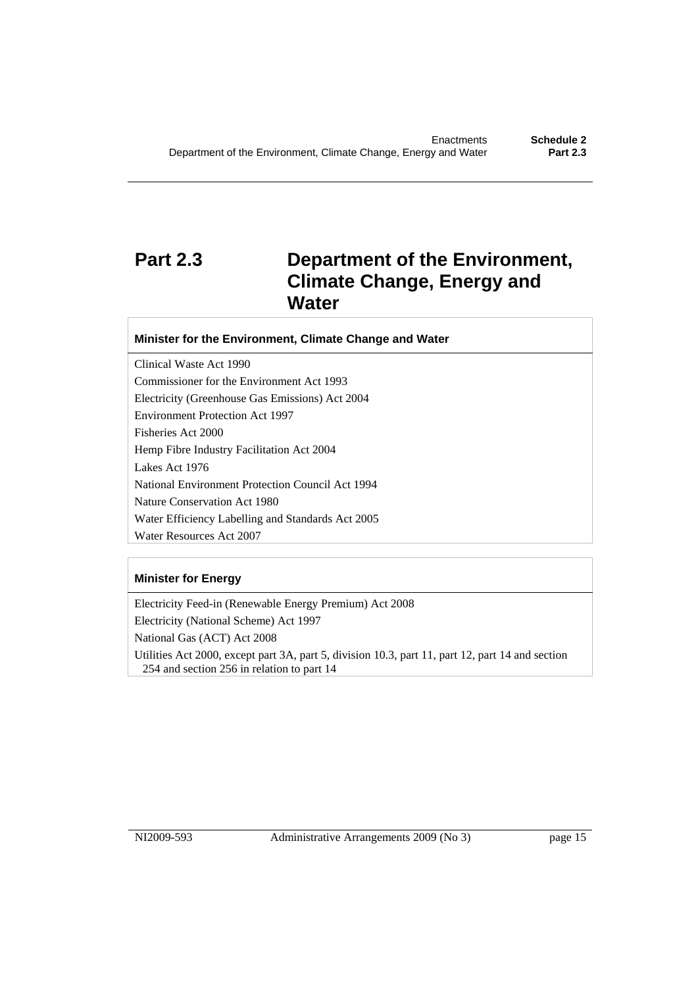### **Part 2.3 Department of the Environment, Climate Change, Energy and Water**

#### **Minister for the Environment, Climate Change and Water**

Clinical Waste Act 1990 Commissioner for the Environment Act 1993 Electricity (Greenhouse Gas Emissions) Act 2004 Environment Protection Act 1997 Fisheries Act 2000 Hemp Fibre Industry Facilitation Act 2004 Lakes Act 1976 National Environment Protection Council Act 1994 Nature Conservation Act 1980 Water Efficiency Labelling and Standards Act 2005 Water Resources Act 2007

#### **Minister for Energy**

Electricity Feed-in (Renewable Energy Premium) Act 2008 Electricity (National Scheme) Act 1997 National Gas (ACT) Act 2008 Utilities Act 2000, except part 3A, part 5, division 10.3, part 11, part 12, part 14 and section 254 and section 256 in relation to part 14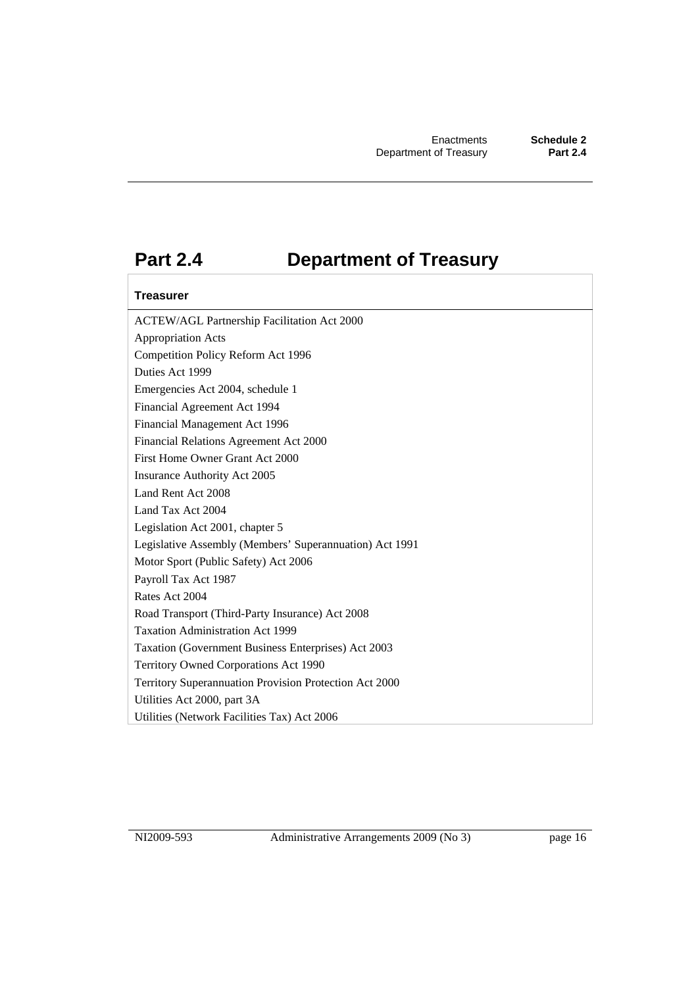### **Part 2.4 Department of Treasury**

#### **Treasurer**

ACTEW/AGL Partnership Facilitation Act 2000 Appropriation Acts Competition Policy Reform Act 1996 Duties Act 1999 Emergencies Act 2004, schedule 1 Financial Agreement Act 1994 Financial Management Act 1996 Financial Relations Agreement Act 2000 First Home Owner Grant Act 2000 Insurance Authority Act 2005 Land Rent Act 2008 Land Tax Act 2004 Legislation Act 2001, chapter 5 Legislative Assembly (Members' Superannuation) Act 1991 Motor Sport (Public Safety) Act 2006 Payroll Tax Act 1987 Rates Act 2004 Road Transport (Third-Party Insurance) Act 2008 Taxation Administration Act 1999 Taxation (Government Business Enterprises) Act 2003 Territory Owned Corporations Act 1990 Territory Superannuation Provision Protection Act 2000 Utilities Act 2000, part 3A Utilities (Network Facilities Tax) Act 2006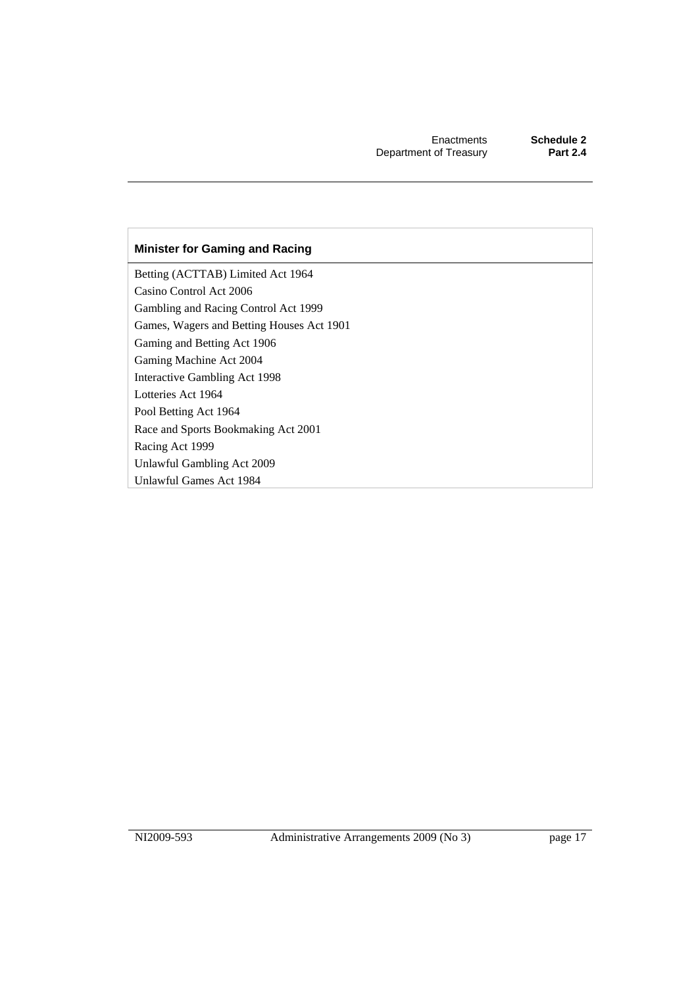#### **Minister for Gaming and Racing**

Betting (ACTTAB) Limited Act 1964 Casino Control Act 2006 Gambling and Racing Control Act 1999 Games, Wagers and Betting Houses Act 1901 Gaming and Betting Act 1906 Gaming Machine Act 2004 Interactive Gambling Act 1998 Lotteries Act 1964 Pool Betting Act 1964 Race and Sports Bookmaking Act 2001 Racing Act 1999 Unlawful Gambling Act 2009 Unlawful Games Act 1984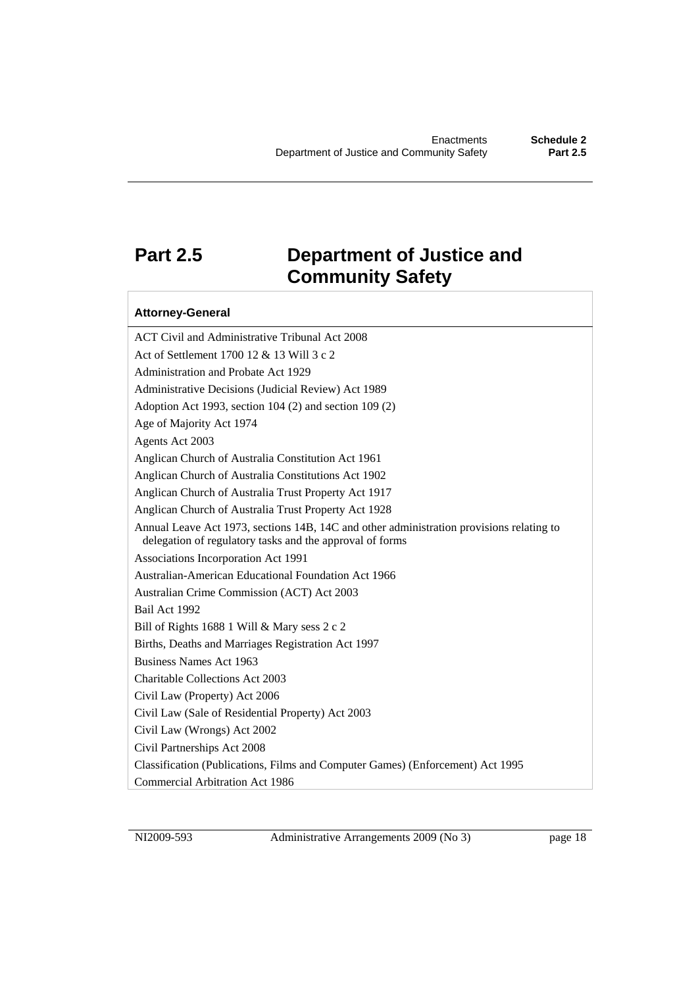### **Part 2.5 Department of Justice and Community Safety**

#### **Attorney-General**

ACT Civil and Administrative Tribunal Act 2008 Act of Settlement 1700 12 & 13 Will 3 c 2 Administration and Probate Act 1929 Administrative Decisions (Judicial Review) Act 1989 Adoption Act 1993, section 104 (2) and section 109 (2) Age of Majority Act 1974 Agents Act 2003 Anglican Church of Australia Constitution Act 1961 Anglican Church of Australia Constitutions Act 1902 Anglican Church of Australia Trust Property Act 1917 Anglican Church of Australia Trust Property Act 1928 Annual Leave Act 1973, sections 14B, 14C and other administration provisions relating to delegation of regulatory tasks and the approval of forms Associations Incorporation Act 1991 Australian-American Educational Foundation Act 1966 Australian Crime Commission (ACT) Act 2003 Bail Act 1992 Bill of Rights 1688 1 Will & Mary sess 2 c 2 Births, Deaths and Marriages Registration Act 1997 Business Names Act 1963 Charitable Collections Act 2003 Civil Law (Property) Act 2006 Civil Law (Sale of Residential Property) Act 2003 Civil Law (Wrongs) Act 2002 Civil Partnerships Act 2008 Classification (Publications, Films and Computer Games) (Enforcement) Act 1995 Commercial Arbitration Act 1986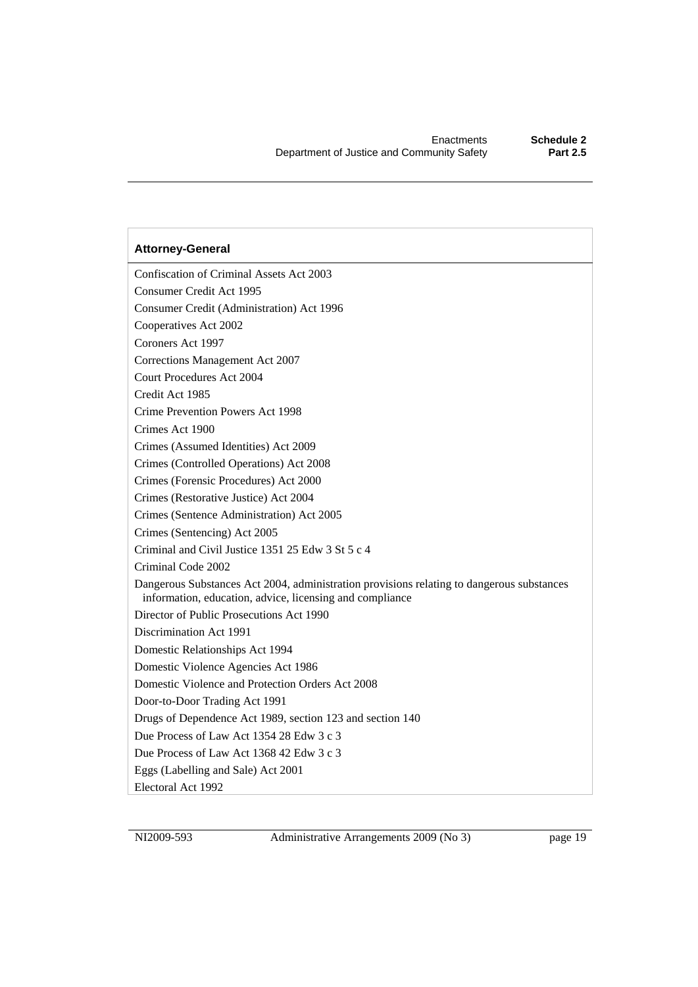Confiscation of Criminal Assets Act 2003 Consumer Credit Act 1995 Consumer Credit (Administration) Act 1996 Cooperatives Act 2002 Coroners Act 1997 Corrections Management Act 2007 Court Procedures Act 2004 Credit Act 1985 Crime Prevention Powers Act 1998 Crimes Act 1900 Crimes (Assumed Identities) Act 2009 Crimes (Controlled Operations) Act 2008 Crimes (Forensic Procedures) Act 2000 Crimes (Restorative Justice) Act 2004 Crimes (Sentence Administration) Act 2005 Crimes (Sentencing) Act 2005 Criminal and Civil Justice 1351 25 Edw 3 St 5 c 4 Criminal Code 2002 Dangerous Substances Act 2004, administration provisions relating to dangerous substances information, education, advice, licensing and compliance Director of Public Prosecutions Act 1990 Discrimination Act 1991 Domestic Relationships Act 1994 Domestic Violence Agencies Act 1986 Domestic Violence and Protection Orders Act 2008 Door-to-Door Trading Act 1991 Drugs of Dependence Act 1989, section 123 and section 140 Due Process of Law Act 1354 28 Edw 3 c 3 Due Process of Law Act 1368 42 Edw 3 c 3 Eggs (Labelling and Sale) Act 2001 Electoral Act 1992

NI2009-593 Administrative Arrangements 2009 (No 3) page 19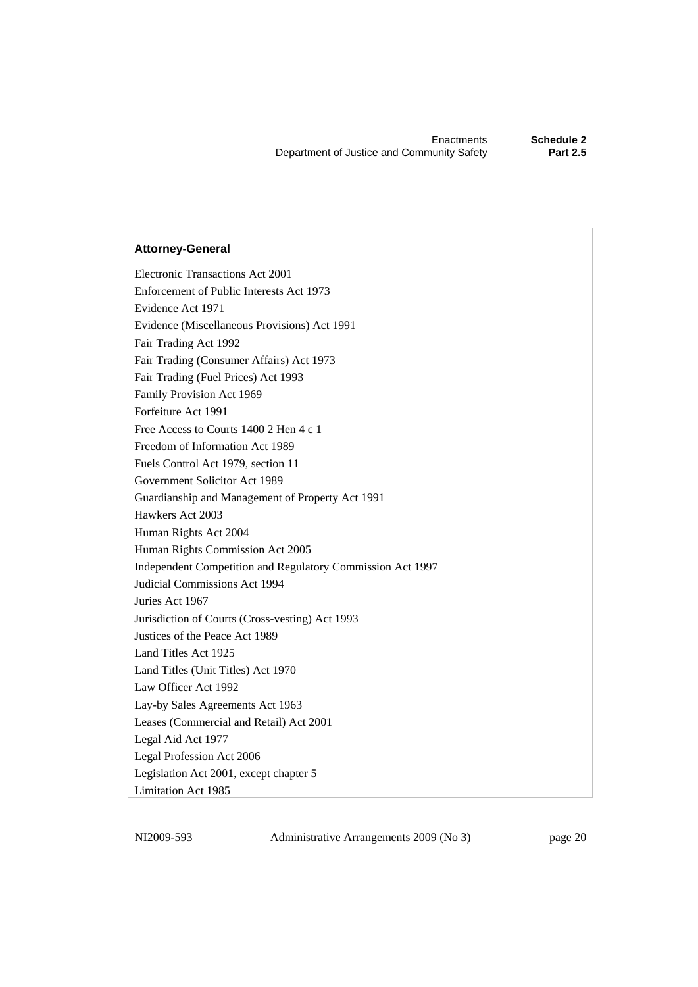Electronic Transactions Act 2001 Enforcement of Public Interests Act 1973 Evidence Act 1971 Evidence (Miscellaneous Provisions) Act 1991 Fair Trading Act 1992 Fair Trading (Consumer Affairs) Act 1973 Fair Trading (Fuel Prices) Act 1993 Family Provision Act 1969 Forfeiture Act 1991 Free Access to Courts 1400 2 Hen 4 c 1 Freedom of Information Act 1989 Fuels Control Act 1979, section 11 Government Solicitor Act 1989 Guardianship and Management of Property Act 1991 Hawkers Act 2003 Human Rights Act 2004 Human Rights Commission Act 2005 Independent Competition and Regulatory Commission Act 1997 Judicial Commissions Act 1994 Juries Act 1967 Jurisdiction of Courts (Cross-vesting) Act 1993 Justices of the Peace Act 1989 Land Titles Act 1925 Land Titles (Unit Titles) Act 1970 Law Officer Act 1992 Lay-by Sales Agreements Act 1963 Leases (Commercial and Retail) Act 2001 Legal Aid Act 1977 Legal Profession Act 2006 Legislation Act 2001, except chapter 5 Limitation Act 1985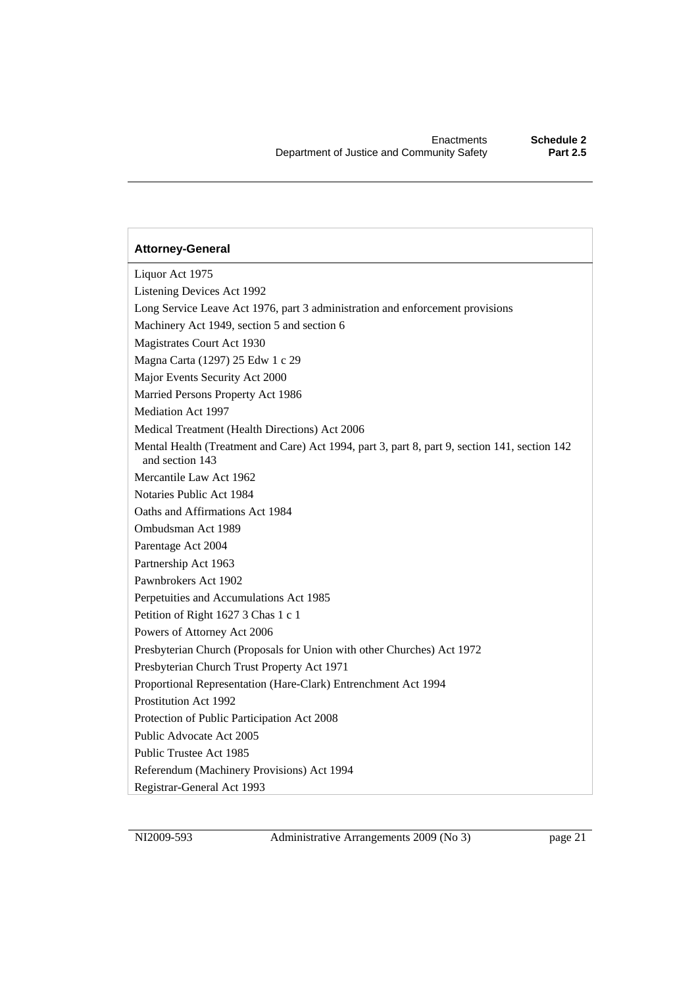Liquor Act 1975 Listening Devices Act 1992 Long Service Leave Act 1976, part 3 administration and enforcement provisions Machinery Act 1949, section 5 and section 6 Magistrates Court Act 1930 Magna Carta (1297) 25 Edw 1 c 29 Major Events Security Act 2000 Married Persons Property Act 1986 Mediation Act 1997 Medical Treatment (Health Directions) Act 2006 Mental Health (Treatment and Care) Act 1994, part 3, part 8, part 9, section 141, section 142 and section 143 Mercantile Law Act 1962 Notaries Public Act 1984 Oaths and Affirmations Act 1984 Ombudsman Act 1989 Parentage Act 2004 Partnership Act 1963 Pawnbrokers Act 1902 Perpetuities and Accumulations Act 1985 Petition of Right 1627 3 Chas 1 c 1 Powers of Attorney Act 2006 Presbyterian Church (Proposals for Union with other Churches) Act 1972 Presbyterian Church Trust Property Act 1971 Proportional Representation (Hare-Clark) Entrenchment Act 1994 Prostitution Act 1992 Protection of Public Participation Act 2008 Public Advocate Act 2005 Public Trustee Act 1985 Referendum (Machinery Provisions) Act 1994 Registrar-General Act 1993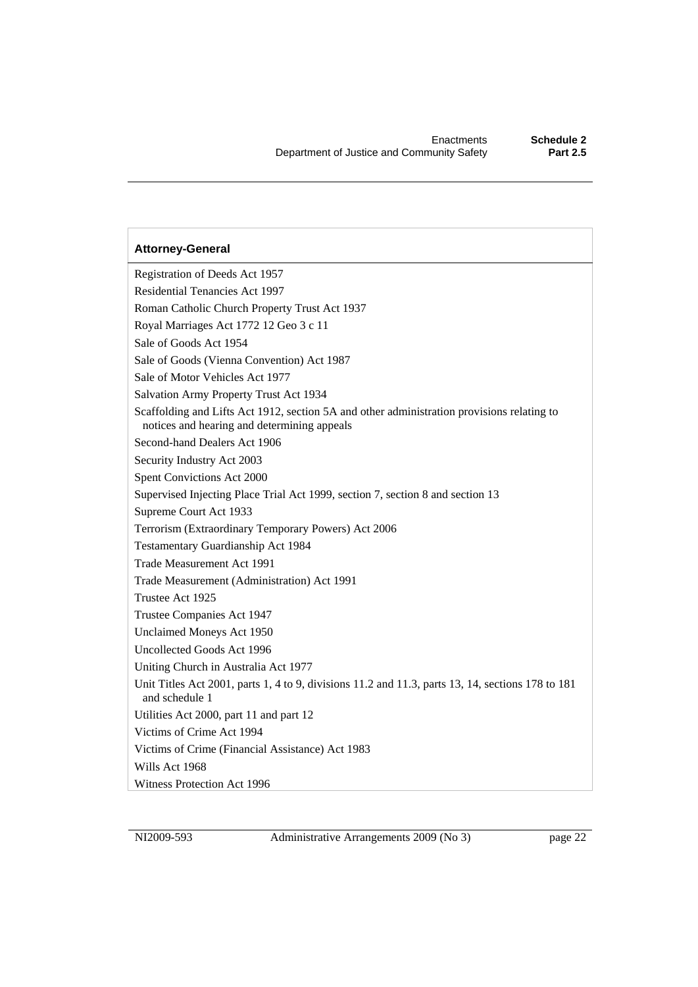Registration of Deeds Act 1957 Residential Tenancies Act 1997 Roman Catholic Church Property Trust Act 1937 Royal Marriages Act 1772 12 Geo 3 c 11 Sale of Goods Act 1954 Sale of Goods (Vienna Convention) Act 1987 Sale of Motor Vehicles Act 1977 Salvation Army Property Trust Act 1934 Scaffolding and Lifts Act 1912, section 5A and other administration provisions relating to notices and hearing and determining appeals Second-hand Dealers Act 1906 Security Industry Act 2003 Spent Convictions Act 2000 Supervised Injecting Place Trial Act 1999, section 7, section 8 and section 13 Supreme Court Act 1933 Terrorism (Extraordinary Temporary Powers) Act 2006 Testamentary Guardianship Act 1984 Trade Measurement Act 1991 Trade Measurement (Administration) Act 1991 Trustee Act 1925 Trustee Companies Act 1947 Unclaimed Moneys Act 1950 Uncollected Goods Act 1996 Uniting Church in Australia Act 1977 Unit Titles Act 2001, parts 1, 4 to 9, divisions 11.2 and 11.3, parts 13, 14, sections 178 to 181 and schedule 1 Utilities Act 2000, part 11 and part 12 Victims of Crime Act 1994 Victims of Crime (Financial Assistance) Act 1983 Wills Act 1968 Witness Protection Act 1996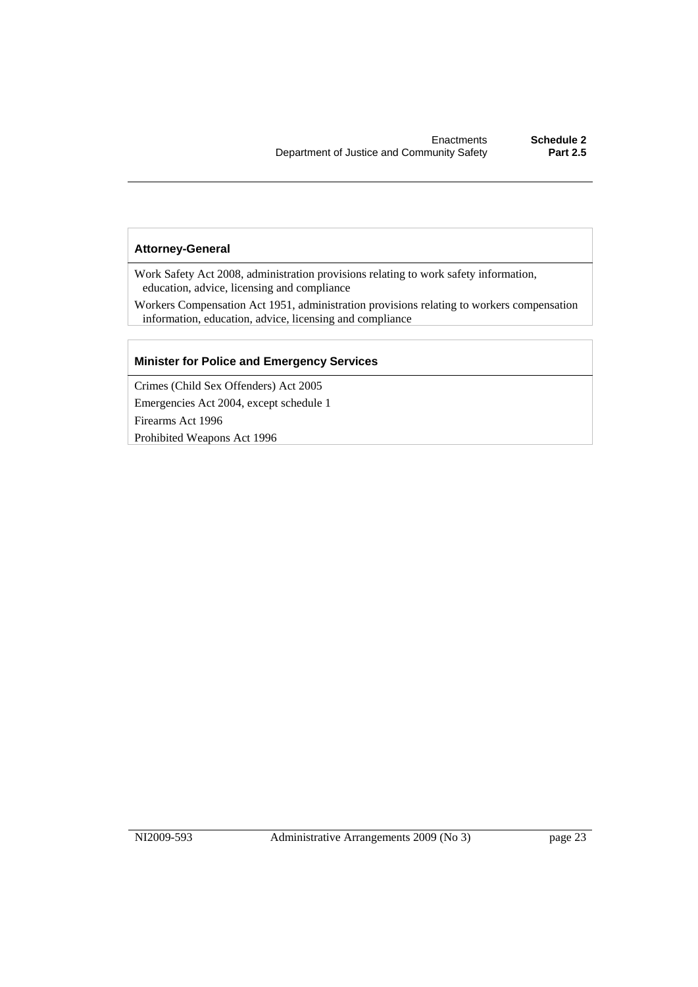Work Safety Act 2008, administration provisions relating to work safety information, education, advice, licensing and compliance

Workers Compensation Act 1951, administration provisions relating to workers compensation information, education, advice, licensing and compliance

#### **Minister for Police and Emergency Services**

Crimes (Child Sex Offenders) Act 2005 Emergencies Act 2004, except schedule 1 Firearms Act 1996 Prohibited Weapons Act 1996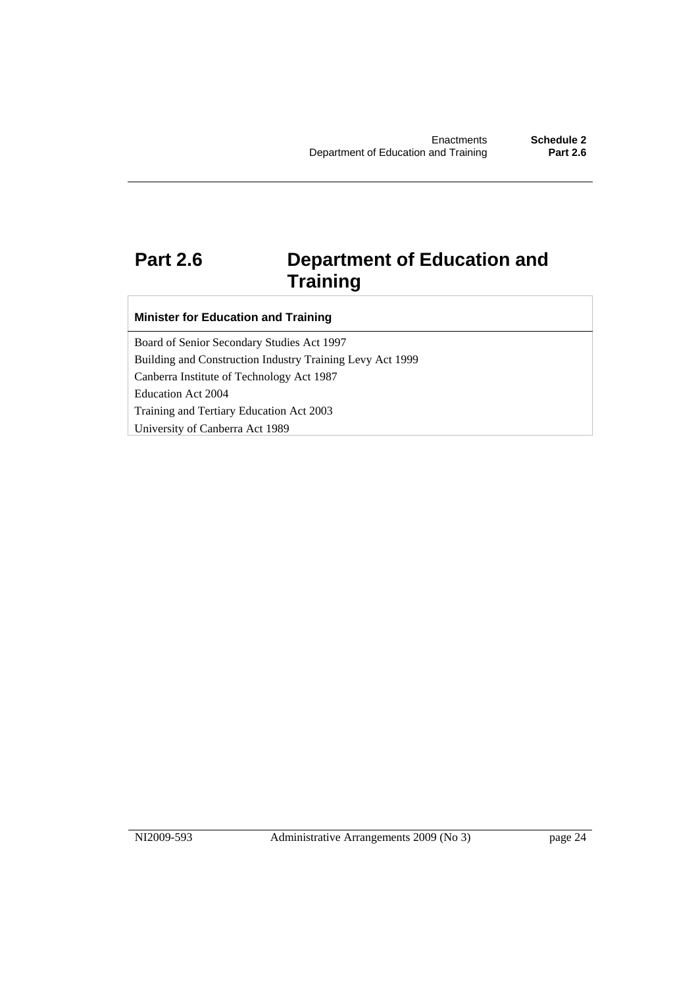### **Part 2.6 Department of Education and Training**

#### **Minister for Education and Training**

Board of Senior Secondary Studies Act 1997 Building and Construction Industry Training Levy Act 1999 Canberra Institute of Technology Act 1987 Education Act 2004 Training and Tertiary Education Act 2003 University of Canberra Act 1989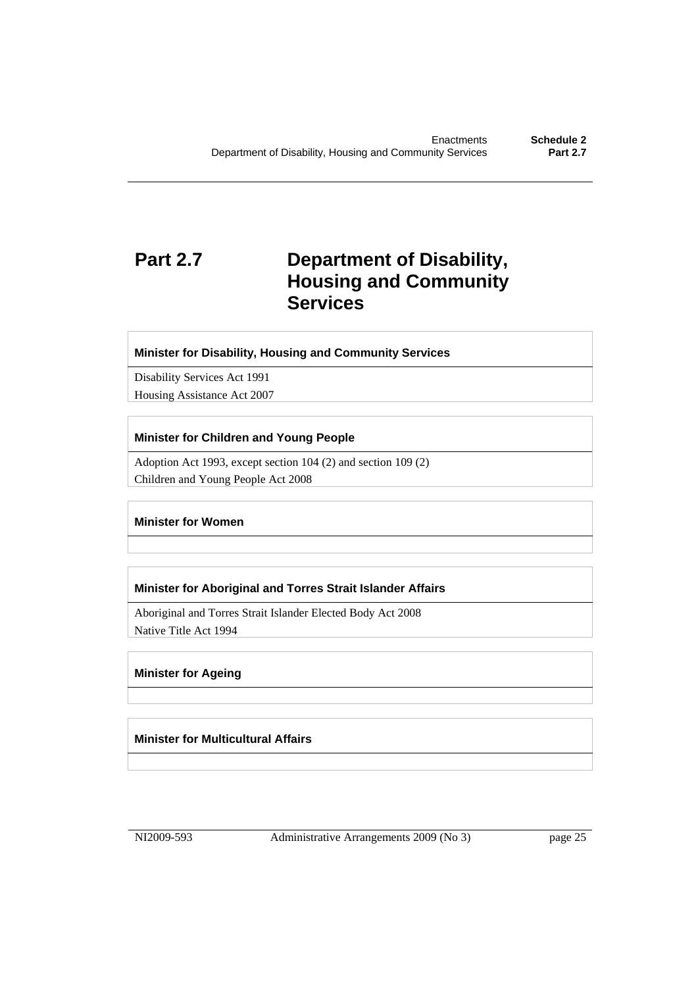### **Part 2.7 Department of Disability, Housing and Community Services**

#### **Minister for Disability, Housing and Community Services**

Disability Services Act 1991 Housing Assistance Act 2007

#### **Minister for Children and Young People**

Adoption Act 1993, except section 104 (2) and section 109 (2) Children and Young People Act 2008

#### **Minister for Women**

#### **Minister for Aboriginal and Torres Strait Islander Affairs**

Aboriginal and Torres Strait Islander Elected Body Act 2008 Native Title Act 1994

#### **Minister for Ageing**

**Minister for Multicultural Affairs**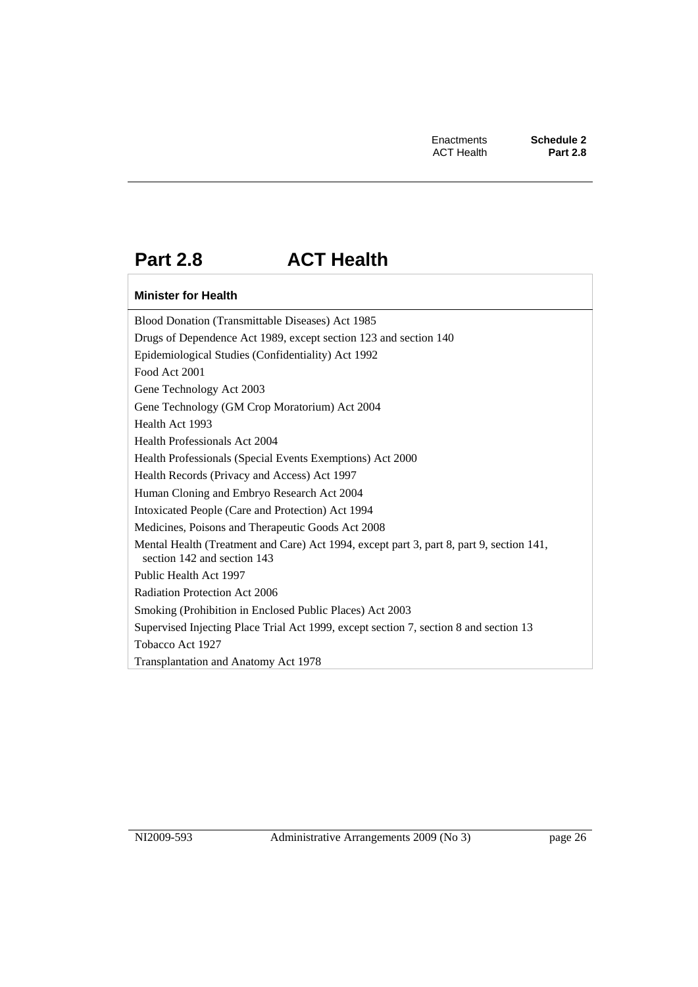### **Part 2.8 ACT Health**

#### **Minister for Health**

Blood Donation (Transmittable Diseases) Act 1985 Drugs of Dependence Act 1989, except section 123 and section 140 Epidemiological Studies (Confidentiality) Act 1992 Food Act 2001 Gene Technology Act 2003 Gene Technology (GM Crop Moratorium) Act 2004 Health Act 1993 Health Professionals Act 2004 Health Professionals (Special Events Exemptions) Act 2000 Health Records (Privacy and Access) Act 1997 Human Cloning and Embryo Research Act 2004 Intoxicated People (Care and Protection) Act 1994 Medicines, Poisons and Therapeutic Goods Act 2008 Mental Health (Treatment and Care) Act 1994, except part 3, part 8, part 9, section 141, section 142 and section 143 Public Health Act 1997 Radiation Protection Act 2006 Smoking (Prohibition in Enclosed Public Places) Act 2003 Supervised Injecting Place Trial Act 1999, except section 7, section 8 and section 13 Tobacco Act 1927 Transplantation and Anatomy Act 1978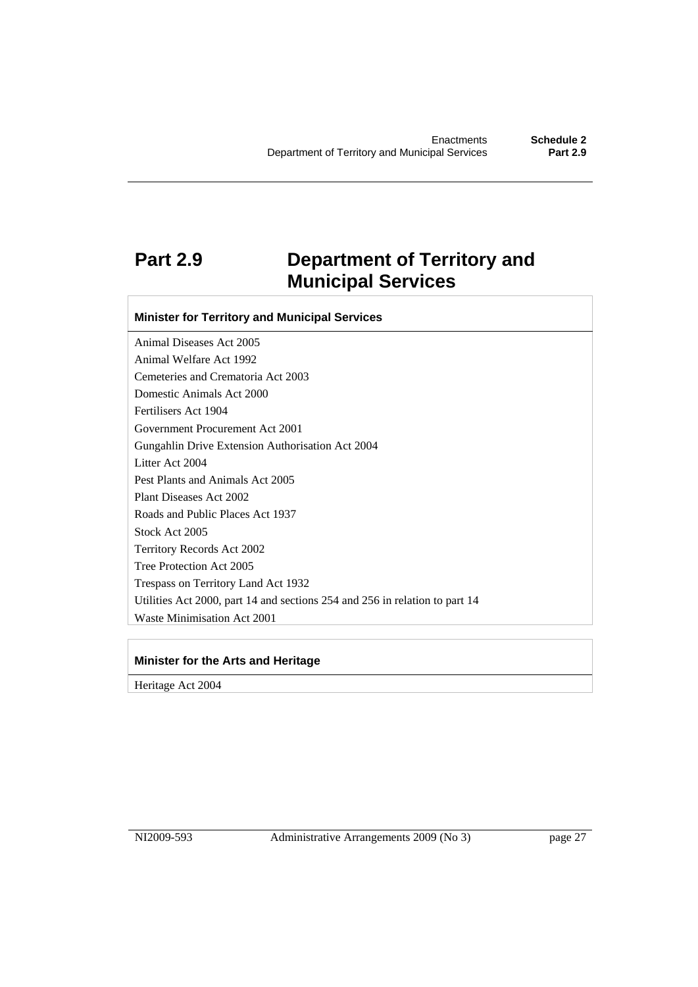### **Part 2.9 Department of Territory and Municipal Services**

**Minister for Territory and Municipal Services** 

Animal Diseases Act 2005 Animal Welfare Act 1992 Cemeteries and Crematoria Act 2003 Domestic Animals Act 2000 Fertilisers Act 1904 Government Procurement Act 2001 Gungahlin Drive Extension Authorisation Act 2004 Litter Act 2004 Pest Plants and Animals Act 2005 Plant Diseases Act 2002 Roads and Public Places Act 1937 Stock Act 2005 Territory Records Act 2002 Tree Protection Act 2005 Trespass on Territory Land Act 1932 Utilities Act 2000, part 14 and sections 254 and 256 in relation to part 14 Waste Minimisation Act 2001

#### **Minister for the Arts and Heritage**

Heritage Act 2004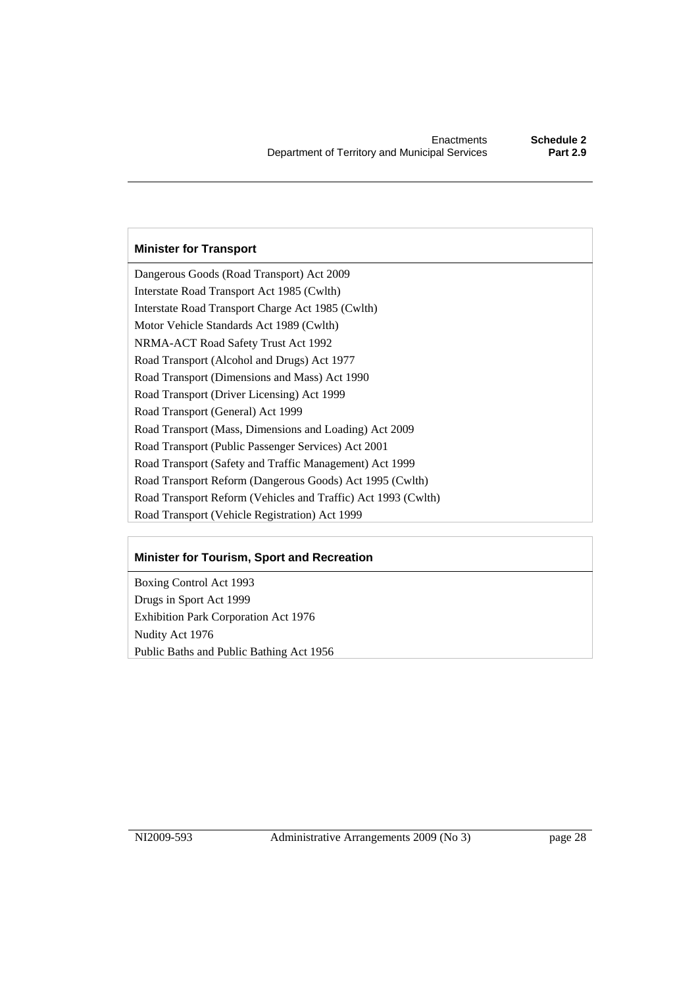#### **Minister for Transport**

Dangerous Goods (Road Transport) Act 2009 Interstate Road Transport Act 1985 (Cwlth) Interstate Road Transport Charge Act 1985 (Cwlth) Motor Vehicle Standards Act 1989 (Cwlth) NRMA-ACT Road Safety Trust Act 1992 Road Transport (Alcohol and Drugs) Act 1977 Road Transport (Dimensions and Mass) Act 1990 Road Transport (Driver Licensing) Act 1999 Road Transport (General) Act 1999 Road Transport (Mass, Dimensions and Loading) Act 2009 Road Transport (Public Passenger Services) Act 2001 Road Transport (Safety and Traffic Management) Act 1999 Road Transport Reform (Dangerous Goods) Act 1995 (Cwlth) Road Transport Reform (Vehicles and Traffic) Act 1993 (Cwlth) Road Transport (Vehicle Registration) Act 1999

#### **Minister for Tourism, Sport and Recreation**

Boxing Control Act 1993 Drugs in Sport Act 1999 Exhibition Park Corporation Act 1976 Nudity Act 1976 Public Baths and Public Bathing Act 1956